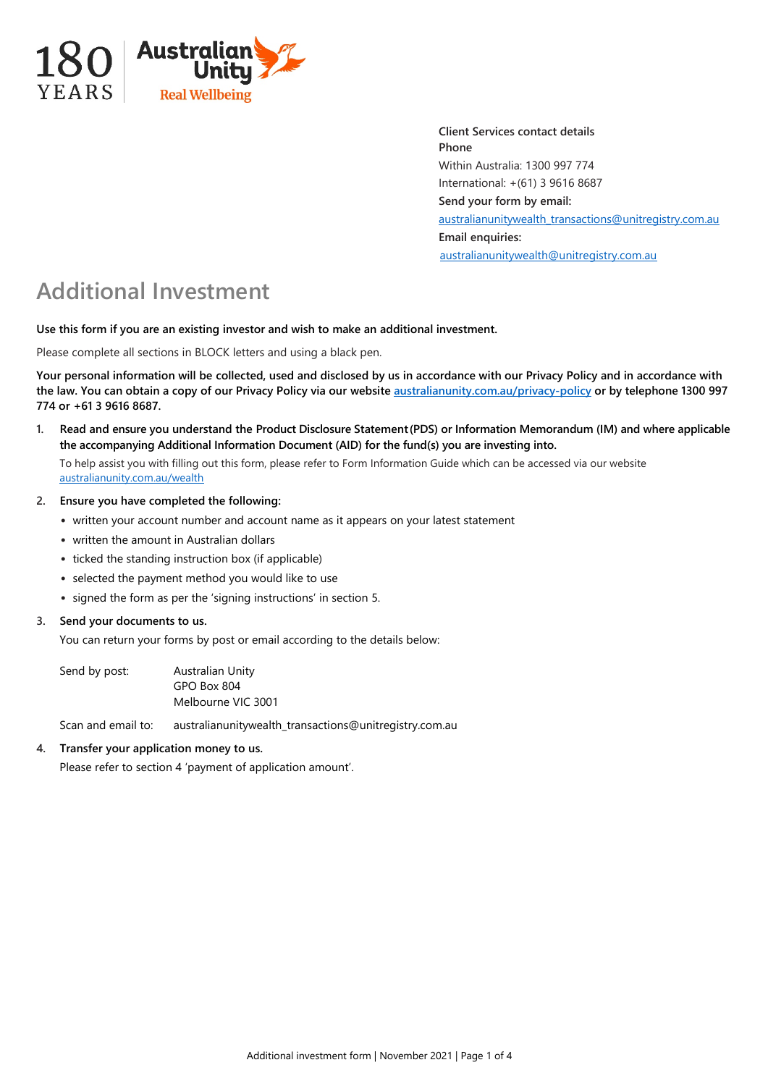

**Client Services contact details Phone** Within Australia: 1300 997 774 International: +(61) 3 9616 8687 **Send your form by email:**  [australianunitywealth\\_transactions@unitregistry.com.au](mailto:australianunitywealth_transactions@unitregistry.com.au) **Email enquiries:** [australianunitywealth@unitregistry.com.au](mailto:australianunitywealth@unitregistry.com.au)

# **Additional Investment**

**Use this form if you are an existing investor and wish to make an additional investment.**

Please complete all sections in BLOCK letters and using a black pen.

**Your personal information will be collected, used and disclosed by us in accordance with our Privacy Policy and in accordance with the law. You can obtain a copy of our Privacy Policy via our websit[e australianunity.com.au/privacy-policy](https://www.australianunity.com.au/privacy-policy) or by telephone 1300 997 774 or +61 3 9616 8687.**

**1. Read and ensure you understand the Product Disclosure Statement(PDS) or Information Memorandum (IM) and where applicable the accompanying Additional Information Document (AID) for the fund(s) you are investing into.**

To help assist you with filling out this form, please refer to Form Information Guide which can be accessed via our website [australianunity.com.au/wealth](https://www.australianunity.com.au/wealth)

- **2. Ensure you have completed the following:**
	- written your account number and account name as it appears on your latest statement
	- written the amount in Australian dollars
	- ticked the standing instruction box (if applicable)
	- selected the payment method you would like to use
	- signed the form as per the 'signing instructions' in section 5.

# **3. Send your documents to us.**

You can return your forms by post or email according to the details below:

Send by post: Australian Unity GPO Box 804 Melbourne VIC 3001

Scan and email to: australianunitywealth\_transactions@unitregistry.com.au

# **4. Transfer your application money to us.**

Please refer to section 4 'payment of application amount'.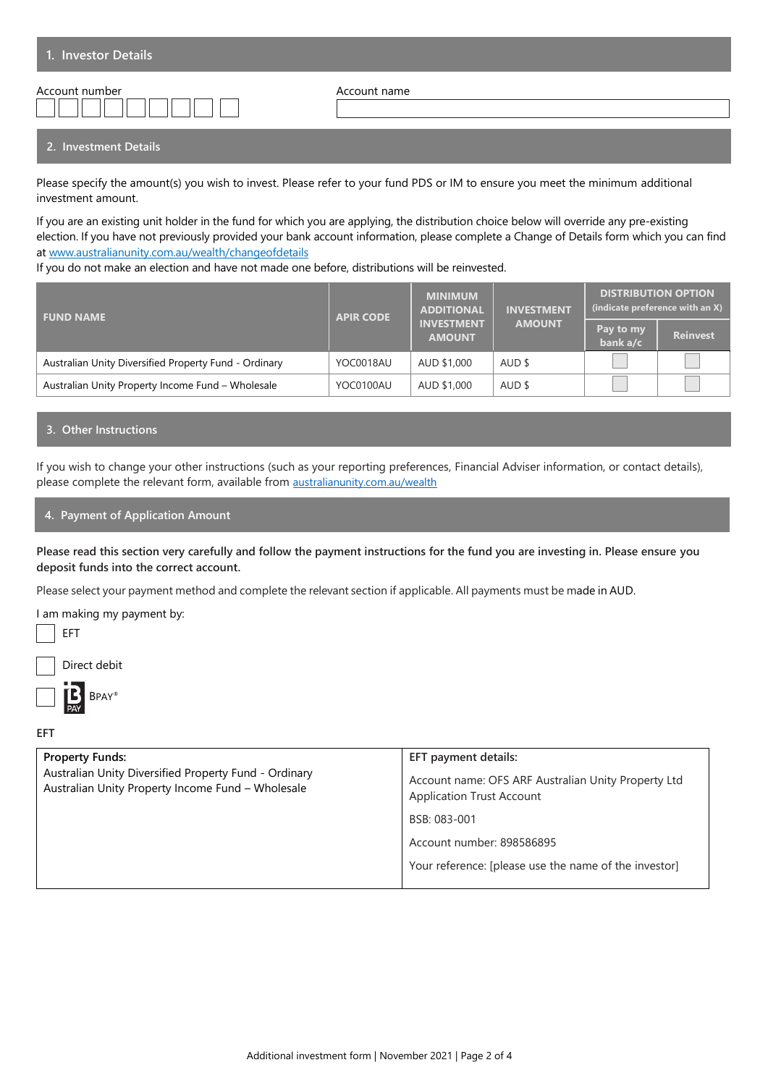| 1. Investor Details |              |
|---------------------|--------------|
| Account number      | Account name |

## **2. Investment Details**

Please specify the amount(s) you wish to invest. Please refer to your fund PDS or IM to ensure you meet the minimum additional investment amount.

If you are an existing unit holder in the fund for which you are applying, the distribution choice below will override any pre-existing election. If you have not previously provided your bank account information, please complete a Change of Details form which you can find at www.australianunity.com.au/wealth/changeofdetails

If you do not make an election and have not made one before, distributions will be reinvested.

| <b>APIR CODE</b><br><b>FUND NAME</b>                  |           | <b>MINIMUM</b><br><b>ADDITIONAL</b> | <b>INVESTMENT</b> | <b>DISTRIBUTION OPTION</b><br>(indicate preference with an X) |                 |
|-------------------------------------------------------|-----------|-------------------------------------|-------------------|---------------------------------------------------------------|-----------------|
|                                                       |           | <b>INVESTMENT</b><br><b>AMOUNT</b>  | <b>AMOUNT</b>     | Pay to my<br>bank a/c                                         | <b>Reinvest</b> |
| Australian Unity Diversified Property Fund - Ordinary | YOC0018AU | AUD \$1,000                         | AUD \$            |                                                               |                 |
| Australian Unity Property Income Fund - Wholesale     | YOC0100AU | AUD \$1,000                         | AUD \$            |                                                               |                 |

#### **3. Other Instructions**

If you wish to change your other instructions (such as your reporting preferences, Financial Adviser information, or contact details), please complete the relevant form, available from [australianunity.com.au/wealth](https://www.australianunity.com.au/wealth)

## **4. Payment of Application Amount**

**Please read this section very carefully and follow the payment instructions for the fund you are investing in. Please ensure you deposit funds into the correct account.** 

Please select your payment method and complete the relevant section if applicable. All payments must be made in AUD.



BPAY®

**EFT**

| <b>Property Funds:</b>                                                                                     | EFT payment details:                                                                    |
|------------------------------------------------------------------------------------------------------------|-----------------------------------------------------------------------------------------|
| Australian Unity Diversified Property Fund - Ordinary<br>Australian Unity Property Income Fund - Wholesale | Account name: OFS ARF Australian Unity Property Ltd<br><b>Application Trust Account</b> |
|                                                                                                            | BSB: 083-001                                                                            |
|                                                                                                            | Account number: 898586895                                                               |
|                                                                                                            | Your reference: [please use the name of the investor]                                   |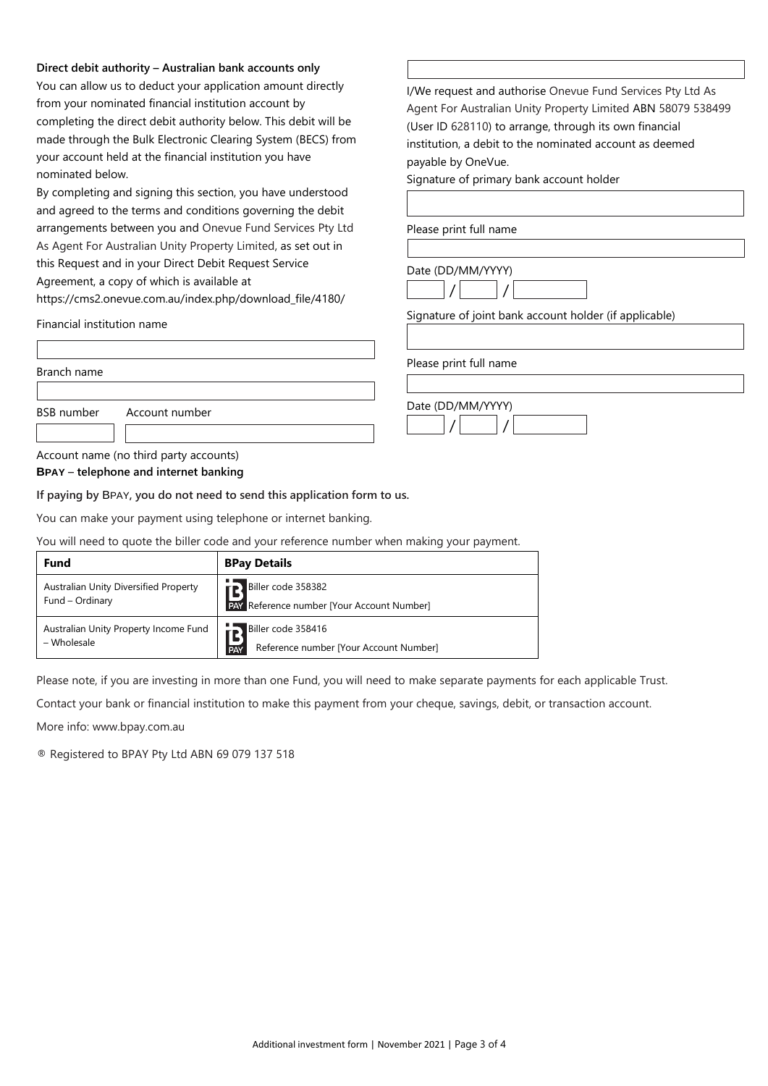#### **Direct debit authority – Australian bank accounts only**

You can allow us to deduct your application amount directly from your nominated financial institution account by completing the direct debit authority below. This debit will be made through the Bulk Electronic Clearing System (BECS) from your account held at the financial institution you have nominated below.

By completing and signing this section, you have understood and agreed to the terms and conditions governing the debit arrangements between you and Onevue Fund Services Pty Ltd As Agent For Australian Unity Property Limited, as set out in this Request and in your Direct Debit Request Service Agreement, a copy of which is [available at](http://www.onevue.com.au/) 

[https://cms2.onevue.com.au/index.php/download\\_file/4180/](http://www.onevue.com.au/)

Financial institution name

Branch name

I/We request and authorise Onevue Fund Services Pty Ltd As Agent For Australian Unity Property Limited ABN 58079 538499 (User ID 628110) to arrange, through its own financial institution, a debit to the nominated account as deemed payable by OneVue.

Signature of primary bank account holder

Please print full name

Date (DD/MM/YYYY)  $/$   $/$ 

Signature of joint bank account holder (if applicable)

Please print full name

Date (DD/MM/YYYY)

 $/$   $/$ 

| <b>BSB</b> number | Account number |
|-------------------|----------------|
|                   |                |

# Account name (no third party accounts)

**BPAY – telephone and internet banking**

**If paying by** BPAY**, you do not need to send this application form to us.**

You can make your payment using telephone or internet banking.

You will need to quote the biller code and your reference number when making your payment.

| <b>Fund</b>                                              | <b>BPay Details</b>                                                        |  |
|----------------------------------------------------------|----------------------------------------------------------------------------|--|
| Australian Unity Diversified Property<br>Fund - Ordinary | Biller code 358382<br><b>PAY Reference number [Your Account Number]</b>    |  |
| Australian Unity Property Income Fund<br>– Wholesale     | Biller code 358416<br>Reference number [Your Account Number]<br><b>PAY</b> |  |

Please note, if you are investing in more than one Fund, you will need to make separate payments for each applicable Trust.

Contact your bank or financial institution to make this payment from your cheque, savings, debit, or transaction account.

More info: www.bpay.com.au

® Registered to BPAY Pty Ltd ABN 69 079 137 518